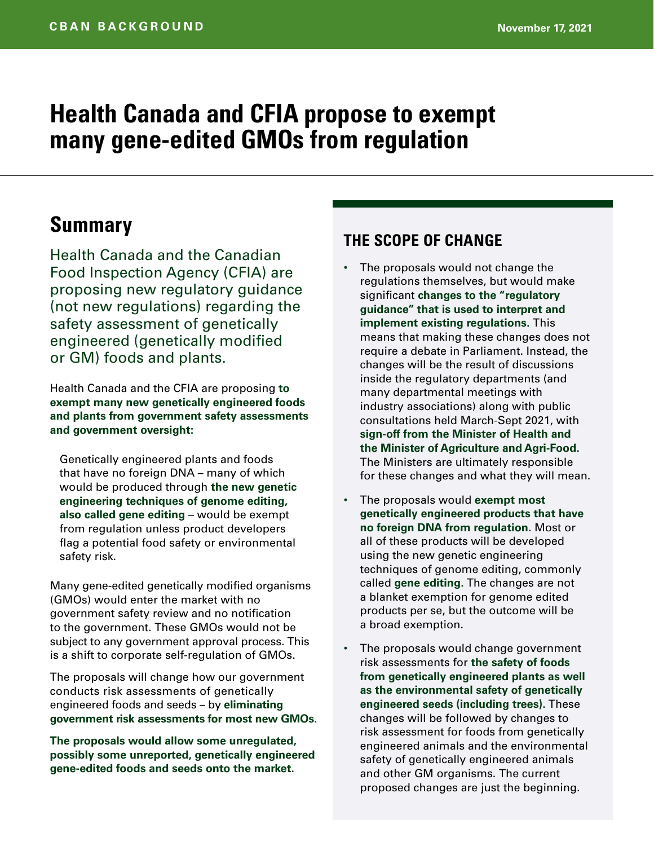# **Health Canada and CFIA propose to exempt many gene-edited GMOs from regulation**

## **Summary**

Health Canada and the Canadian Food Inspection Agency (CFIA) are proposing new regulatory guidance (not new regulations) regarding the safety assessment of genetically engineered (genetically modified or GM) foods and plants.

Health Canada and the CFIA are proposing **to exempt many new genetically engineered foods and plants from government safety assessments and government oversight:**

Genetically engineered plants and foods that have no foreign DNA – many of which would be produced through **the new genetic engineering techniques of genome editing, also called gene editing** – would be exempt from regulation unless product developers flag a potential food safety or environmental safety risk.

Many gene-edited genetically modified organisms (GMOs) would enter the market with no government safety review and no notification to the government. These GMOs would not be subject to any government approval process. This is a shift to corporate self-regulation of GMOs.

The proposals will change how our government conducts risk assessments of genetically engineered foods and seeds – by **eliminating government risk assessments for most new GMOs.**

**The proposals would allow some unregulated, possibly some unreported, genetically engineered gene-edited foods and seeds onto the market.**

#### **THE SCOPE OF CHANGE**

- The proposals would not change the regulations themselves, but would make significant **changes to the "regulatory guidance" that is used to interpret and implement existing regulations.** This means that making these changes does not require a debate in Parliament. Instead, the changes will be the result of discussions inside the regulatory departments (and many departmental meetings with industry associations) along with public consultations held March-Sept 2021, with **sign-off from the Minister of Health and the Minister of Agriculture and Agri-Food.**  The Ministers are ultimately responsible for these changes and what they will mean.
- The proposals would **exempt most genetically engineered products that have no foreign DNA from regulation.** Most or all of these products will be developed using the new genetic engineering techniques of genome editing, commonly called **gene editing.** The changes are not a blanket exemption for genome edited products per se, but the outcome will be a broad exemption.
- The proposals would change government risk assessments for **the safety of foods from genetically engineered plants as well as the environmental safety of genetically engineered seeds (including trees).** These changes will be followed by changes to risk assessment for foods from genetically engineered animals and the environmental safety of genetically engineered animals and other GM organisms. The current proposed changes are just the beginning.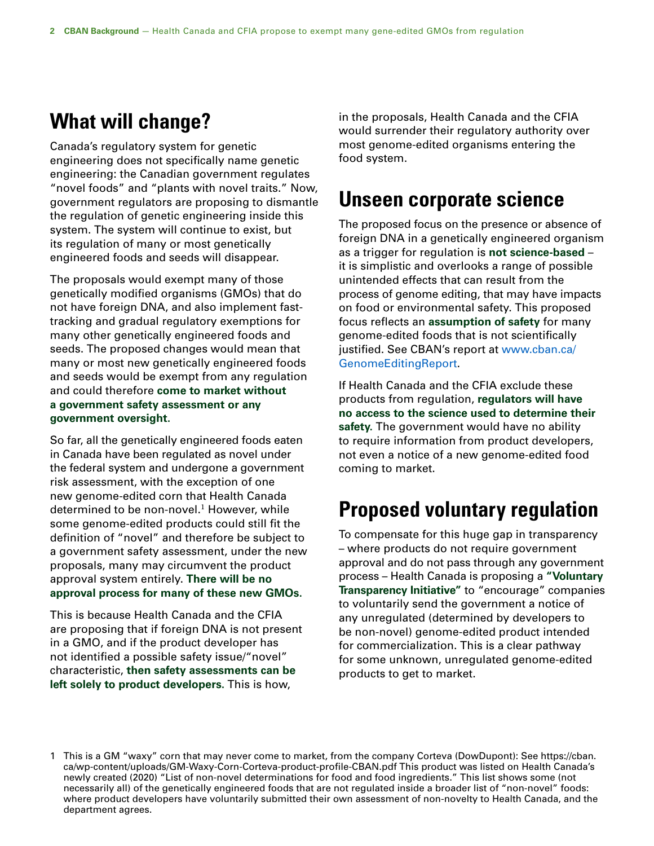## **What will change?**

Canada's regulatory system for genetic engineering does not specifically name genetic engineering: the Canadian government regulates "novel foods" and "plants with novel traits." Now, government regulators are proposing to dismantle the regulation of genetic engineering inside this system. The system will continue to exist, but its regulation of many or most genetically engineered foods and seeds will disappear.

The proposals would exempt many of those genetically modified organisms (GMOs) that do not have foreign DNA, and also implement fasttracking and gradual regulatory exemptions for many other genetically engineered foods and seeds. The proposed changes would mean that many or most new genetically engineered foods and seeds would be exempt from any regulation and could therefore **come to market without a government safety assessment or any government oversight.**

So far, all the genetically engineered foods eaten in Canada have been regulated as novel under the federal system and undergone a government risk assessment, with the exception of one new genome-edited corn that Health Canada determined to be non-novel.<sup>1</sup> However, while some genome-edited products could still fit the definition of "novel" and therefore be subject to a government safety assessment, under the new proposals, many may circumvent the product approval system entirely. **There will be no approval process for many of these new GMOs.**

This is because Health Canada and the CFIA are proposing that if foreign DNA is not present in a GMO, and if the product developer has not identified a possible safety issue/"novel" characteristic, **then safety assessments can be left solely to product developers.** This is how,

in the proposals, Health Canada and the CFIA would surrender their regulatory authority over most genome-edited organisms entering the food system.

#### **Unseen corporate science**

The proposed focus on the presence or absence of foreign DNA in a genetically engineered organism as a trigger for regulation is **not science-based** – it is simplistic and overlooks a range of possible unintended effects that can result from the process of genome editing, that may have impacts on food or environmental safety. This proposed focus reflects an **assumption of safety** for many genome-edited foods that is not scientifically justified. See CBAN's report at [www.cban.ca/](http://www.cban.ca/GenomeEditingReport) [GenomeEditingReport](http://www.cban.ca/GenomeEditingReport).

If Health Canada and the CFIA exclude these products from regulation, **regulators will have no access to the science used to determine their safety.** The government would have no ability to require information from product developers, not even a notice of a new genome-edited food coming to market.

## **Proposed voluntary regulation**

To compensate for this huge gap in transparency – where products do not require government approval and do not pass through any government process – Health Canada is proposing a **"Voluntary Transparency Initiative"** to "encourage" companies to voluntarily send the government a notice of any unregulated (determined by developers to be non-novel) genome-edited product intended for commercialization. This is a clear pathway for some unknown, unregulated genome-edited products to get to market.

<sup>1</sup> This is a GM "waxy" corn that may never come to market, from the company Corteva (DowDupont): See [https://cban.](https://cban.ca/wp-content/uploads/GM-Waxy-Corn-Corteva-product-profile-CBAN.pdf) [ca/wp-content/uploads/GM-Waxy-Corn-Corteva-product-profile-CBAN.pdf](https://cban.ca/wp-content/uploads/GM-Waxy-Corn-Corteva-product-profile-CBAN.pdf) This product was listed on Health Canada's newly created (2020) "List of non-novel determinations for food and food ingredients." This list shows some (not necessarily all) of the genetically engineered foods that are not regulated inside a broader list of "non-novel" foods: where product developers have voluntarily submitted their own assessment of non-novelty to Health Canada, and the department agrees.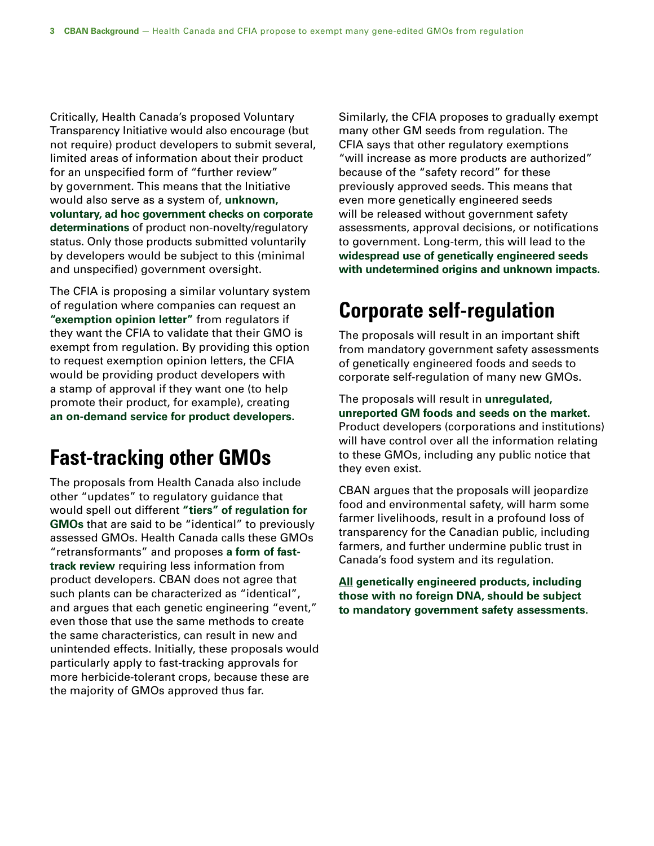Critically, Health Canada's proposed Voluntary Transparency Initiative would also encourage (but not require) product developers to submit several, limited areas of information about their product for an unspecified form of "further review" by government. This means that the Initiative would also serve as a system of, **unknown, voluntary, ad hoc government checks on corporate determinations** of product non-novelty/regulatory status. Only those products submitted voluntarily by developers would be subject to this (minimal and unspecified) government oversight.

The CFIA is proposing a similar voluntary system of regulation where companies can request an **"exemption opinion letter"** from regulators if they want the CFIA to validate that their GMO is exempt from regulation. By providing this option to request exemption opinion letters, the CFIA would be providing product developers with a stamp of approval if they want one (to help promote their product, for example), creating **an on-demand service for product developers.**

## **Fast-tracking other GMOs**

The proposals from Health Canada also include other "updates" to regulatory guidance that would spell out different **"tiers" of regulation for GMOs** that are said to be "identical" to previously assessed GMOs. Health Canada calls these GMOs "retransformants" and proposes **a form of fasttrack review** requiring less information from product developers. CBAN does not agree that such plants can be characterized as "identical", and argues that each genetic engineering "event," even those that use the same methods to create the same characteristics, can result in new and unintended effects. Initially, these proposals would particularly apply to fast-tracking approvals for more herbicide-tolerant crops, because these are the majority of GMOs approved thus far.

Similarly, the CFIA proposes to gradually exempt many other GM seeds from regulation. The CFIA says that other regulatory exemptions "will increase as more products are authorized" because of the "safety record" for these previously approved seeds. This means that even more genetically engineered seeds will be released without government safety assessments, approval decisions, or notifications to government. Long-term, this will lead to the **widespread use of genetically engineered seeds with undetermined origins and unknown impacts.**

# **Corporate self-regulation**

The proposals will result in an important shift from mandatory government safety assessments of genetically engineered foods and seeds to corporate self-regulation of many new GMOs.

The proposals will result in **unregulated, unreported GM foods and seeds on the market.**  Product developers (corporations and institutions) will have control over all the information relating to these GMOs, including any public notice that they even exist.

CBAN argues that the proposals will jeopardize food and environmental safety, will harm some farmer livelihoods, result in a profound loss of transparency for the Canadian public, including farmers, and further undermine public trust in Canada's food system and its regulation.

**All genetically engineered products, including those with no foreign DNA, should be subject to mandatory government safety assessments.**